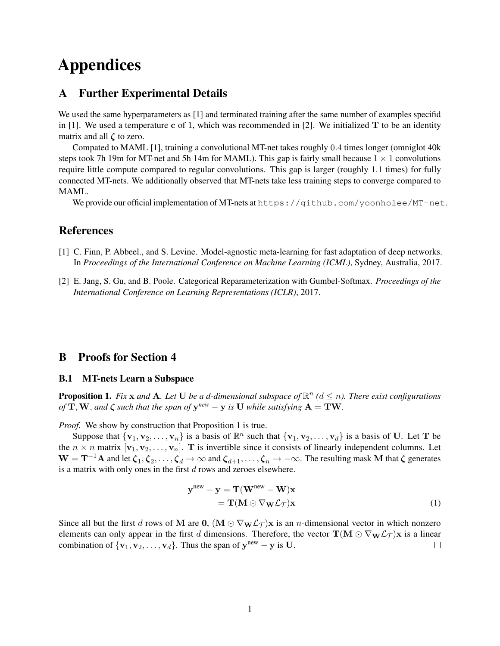# Appendices

### A Further Experimental Details

We used the same hyperparameters as [1] and terminated training after the same number of examples specifid in [1]. We used a temperature c of 1, which was recommended in [2]. We initialized  $T$  to be an identity matrix and all  $\zeta$  to zero.

Compated to MAML [1], training a convolutional MT-net takes roughly 0.4 times longer (omniglot 40k steps took 7h 19m for MT-net and 5h 14m for MAML). This gap is fairly small because  $1 \times 1$  convolutions require little compute compared to regular convolutions. This gap is larger (roughly 1.1 times) for fully connected MT-nets. We additionally observed that MT-nets take less training steps to converge compared to MAML.

We provide our official implementation of MT-nets at https://github.com/yoonholee/MT-net.

## **References**

- [1] C. Finn, P. Abbeel., and S. Levine. Model-agnostic meta-learning for fast adaptation of deep networks. In *Proceedings of the International Conference on Machine Learning (ICML)*, Sydney, Australia, 2017.
- [2] E. Jang, S. Gu, and B. Poole. Categorical Reparameterization with Gumbel-Softmax. *Proceedings of the International Conference on Learning Representations (ICLR)*, 2017.

#### B Proofs for Section 4

#### B.1 MT-nets Learn a Subspace

**Proposition 1.** Fix  $x$  and  $A$ . Let  $U$  be a d-dimensional subspace of  $\mathbb{R}^n$  ( $d \leq n$ ). There exist configurations *of*  $T, W$ *, and*  $\zeta$  *such that the span of*  $y^{new} - y$  *is* U *while satisfying*  $A = TW$ *.* 

*Proof.* We show by construction that Proposition 1 is true.

Suppose that  $\{v_1, v_2, \ldots, v_n\}$  is a basis of  $\mathbb{R}^n$  such that  $\{v_1, v_2, \ldots, v_d\}$  is a basis of U. Let T be the  $n \times n$  matrix  $[\mathbf{v}_1, \mathbf{v}_2, \dots, \mathbf{v}_n]$ . T is invertible since it consists of linearly independent columns. Let  $W = T^{-1}A$  and let  $\zeta_1, \zeta_2, \ldots, \zeta_d \to \infty$  and  $\zeta_{d+1}, \ldots, \zeta_n \to -\infty$ . The resulting mask M that  $\zeta$  generates is a matrix with only ones in the first d rows and zeroes elsewhere.

$$
\mathbf{y}^{\text{new}} - \mathbf{y} = \mathbf{T}(\mathbf{W}^{\text{new}} - \mathbf{W})\mathbf{x}
$$
  
=  $\mathbf{T}(\mathbf{M} \odot \nabla_{\mathbf{W}} \mathcal{L}_{\mathcal{T}})\mathbf{x}$  (1)

Since all but the first d rows of M are  $0$ ,  $(M \odot \nabla_W \mathcal{L}_T)$ x is an n-dimensional vector in which nonzero elements can only appear in the first d dimensions. Therefore, the vector  $\mathbf{T}(\mathbf{M} \odot \nabla_{\mathbf{W}} \mathcal{L}_T) \mathbf{x}$  is a linear combination of  $\{v_1, v_2, \dots, v_d\}$ . Thus the span of  $y^{new} - y$  is U.  $\Box$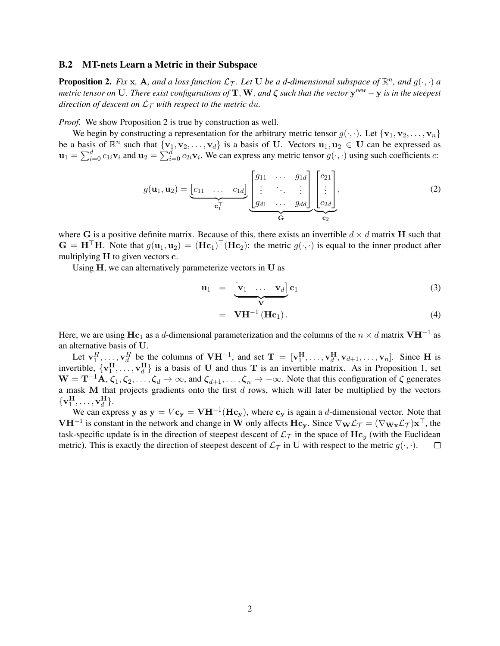#### B.2 MT-nets Learn a Metric in their Subspace

**Proposition 2.** Fix x, A, and a loss function  $\mathcal{L}_{\mathcal{T}}$ . Let U be a d-dimensional subspace of  $\mathbb{R}^n$ , and  $g(\cdot, \cdot)$  a *metric tensor on* U*. There exist configurations of* T,W, *and* ζ *such that the vector* y *new* −y *is in the steepest direction of descent on*  $\mathcal{L}_{\mathcal{T}}$  *with respect to the metric du.* 

*Proof.* We show Proposition 2 is true by construction as well.

We begin by constructing a representation for the arbitrary metric tensor  $g(\cdot, \cdot)$ . Let  $\{v_1, v_2, \ldots, v_n\}$ be a basis of  $\mathbb{R}^n$  such that  $\{v_1, v_2, \ldots, v_d\}$  is a basis of U. Vectors  $u_1, u_2 \in U$  can be expressed as  $\mathbf{u}_1 = \sum_{i=0}^d c_{1i} \mathbf{v}_i$  and  $\mathbf{u}_2 = \sum_{i=0}^d c_{2i} \mathbf{v}_i$ . We can express any metric tensor  $g(\cdot, \cdot)$  using such coefficients c:

$$
g(\mathbf{u}_1, \mathbf{u}_2) = \underbrace{\begin{bmatrix} c_{11} & \dots & c_{1d} \end{bmatrix}}_{\mathbf{c}_1^{\top}} \underbrace{\begin{bmatrix} g_{11} & \dots & g_{1d} \\ \vdots & \ddots & \vdots \\ g_{d1} & \dots & g_{dd} \end{bmatrix}}_{\mathbf{G}} \underbrace{\begin{bmatrix} c_{21} \\ \vdots \\ c_{2d} \end{bmatrix}}_{\mathbf{c}_2},
$$
 (2)

where G is a positive definite matrix. Because of this, there exists an invertible  $d \times d$  matrix H such that  $G = H^{\top}H$ . Note that  $g(\mathbf{u}_1, \mathbf{u}_2) = (Hc_1)^{\top} (Hc_2)$ : the metric  $g(\cdot, \cdot)$  is equal to the inner product after multiplying H to given vectors c.

Using H, we can alternatively parameterize vectors in U as

$$
\mathbf{u}_1 = \underbrace{\begin{bmatrix} \mathbf{v}_1 & \dots & \mathbf{v}_d \end{bmatrix}}_{\mathbf{V}} \mathbf{c}_1 \tag{3}
$$

$$
= \mathbf{V} \mathbf{H}^{-1} (\mathbf{H} \mathbf{c}_1). \tag{4}
$$

Here, we are using  $\mathbf{Hc}_1$  as a d-dimensional parameterization and the columns of the  $n \times d$  matrix  $\mathbf{V} \mathbf{H}^{-1}$  as an alternative basis of U.

Let  $\mathbf{v}_1^H, \ldots, \mathbf{v}_d^H$  be the columns of  $\mathbf{V} \mathbf{H}^{-1}$ , and set  $\mathbf{T} = [\mathbf{v}_1^H, \ldots, \mathbf{v}_d^H, \mathbf{v}_{d+1}, \ldots, \mathbf{v}_n]$ . Since H is invertible,  $\{v_1^H, \ldots, v_d^H\}$  is a basis of U and thus T is an invertible matrix. As in Proposition 1, set  $W = T^{-1}A, \zeta_1, \zeta_2, \ldots, \zeta_d \to \infty$ , and  $\zeta_{d+1}, \ldots, \zeta_n \to -\infty$ . Note that this configuration of  $\zeta$  generates a mask M that projects gradients onto the first  $d$  rows, which will later be multiplied by the vectors  $\{ \mathbf{v}_1^{\mathbf{H}}, \dots, \mathbf{v}_d^{\mathbf{H}} \}.$ 

We can express y as  $y = Vc_y = VH^{-1}(Hc_y)$ , where  $c_y$  is again a d-dimensional vector. Note that **VH**<sup>-1</sup> is constant in the network and change in W only affects Hc<sub>y</sub>. Since  $\nabla_{\bf W} \mathcal{L}_{\mathcal{T}} = (\nabla_{\bf W_x} \mathcal{L}_{\mathcal{T}}) {\bf x}^\top$ , the task-specific update is in the direction of steepest descent of  $\mathcal{L}_{\mathcal{T}}$  in the space of  $\mathbf{Hc}_y$  (with the Euclidean metric). This is exactly the direction of steepest descent of  $\mathcal{L}_{\mathcal{T}}$  in U with respect to the metric  $q(\cdot, \cdot)$ . □